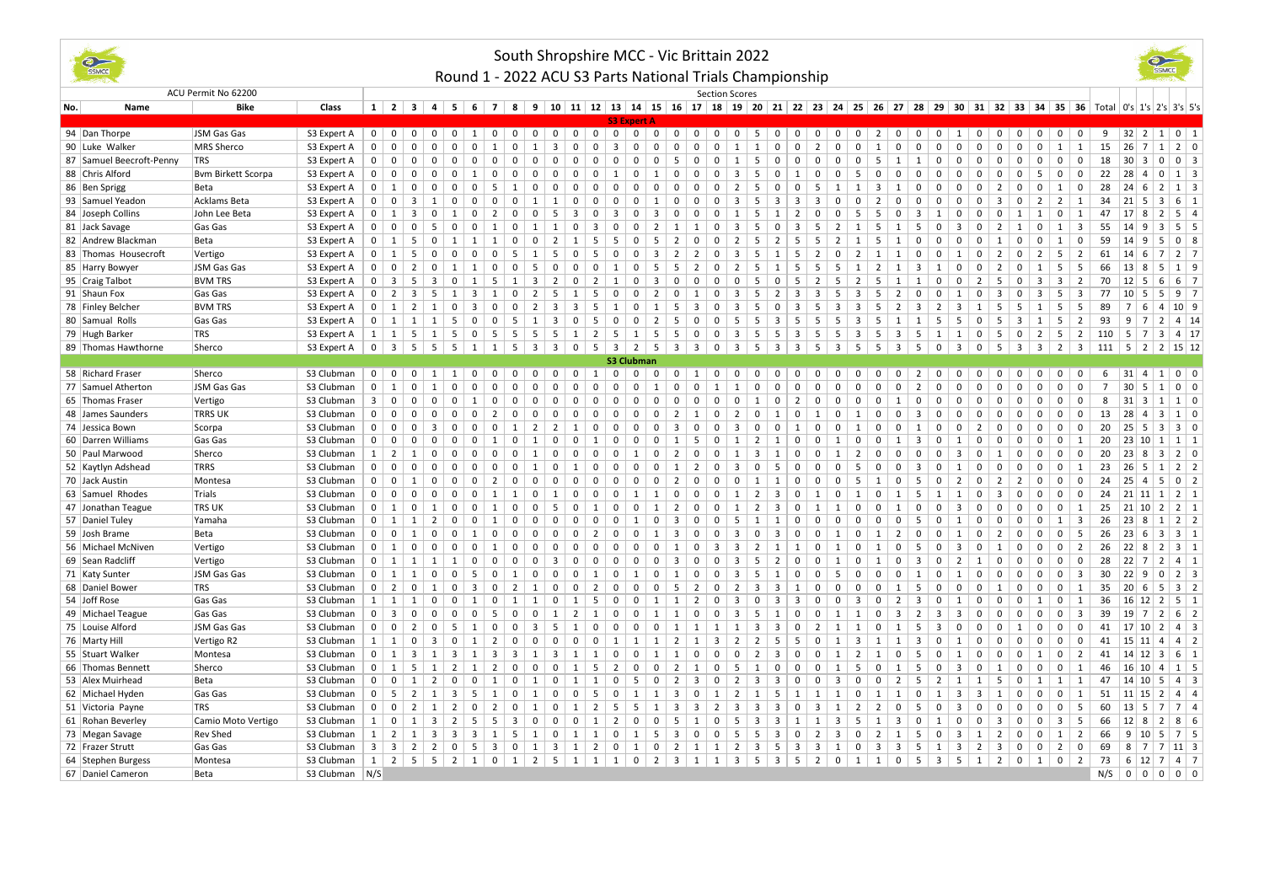

## South Shropshire MCC - Vic Brittain 2022

**CONCE** 

## Round 1 - 2022 ACU S3 Parts National Trials Championship

|     | ACU Permit No 62200                  |                                       |                  |                         |                                |                         |                                 |                                           |                               |                     |                  |                         |                            |                                       |                               |                   |                |                              |                  | <b>Section Scores</b>           |                         |                               |                                   |                                                                                                                                          |                              |                         |                |                                     |                                  |                         |                |                              |                         |                         |                         |                         |                |                                  |                |                                   |  |
|-----|--------------------------------------|---------------------------------------|------------------|-------------------------|--------------------------------|-------------------------|---------------------------------|-------------------------------------------|-------------------------------|---------------------|------------------|-------------------------|----------------------------|---------------------------------------|-------------------------------|-------------------|----------------|------------------------------|------------------|---------------------------------|-------------------------|-------------------------------|-----------------------------------|------------------------------------------------------------------------------------------------------------------------------------------|------------------------------|-------------------------|----------------|-------------------------------------|----------------------------------|-------------------------|----------------|------------------------------|-------------------------|-------------------------|-------------------------|-------------------------|----------------|----------------------------------|----------------|-----------------------------------|--|
| No. | Name                                 | <b>Bike</b>                           | Class            |                         | $1 \mid 2 \mid 3 \mid$         |                         | $4 \mid 5 \mid 6 \mid 7 \mid 8$ |                                           |                               |                     |                  |                         |                            |                                       |                               |                   |                |                              |                  |                                 |                         |                               |                                   | 9   10   11   12   13   14   15   16   17   18   19   20   21   22   23   24   25   26   27   28   29   30   31   32   33   34   35   36 |                              |                         |                |                                     |                                  |                         |                |                              |                         |                         |                         |                         |                |                                  |                | Total $ 0's 1's 2's 3's 5's$      |  |
|     |                                      |                                       |                  |                         |                                |                         |                                 |                                           |                               |                     |                  |                         |                            |                                       |                               |                   |                |                              |                  |                                 |                         |                               |                                   |                                                                                                                                          |                              |                         |                |                                     |                                  |                         |                |                              |                         |                         |                         |                         |                |                                  |                |                                   |  |
|     | 94 Dan Thorpe                        | JSM Gas Gas                           | S3 Expert A      |                         | $0 \mid 0 \mid$                | $\mathbf 0$             | 0 <sup>1</sup>                  | $\mathbf 0$                               | 1                             | 0 <sup>1</sup>      | $\overline{0}$   | $\mathbf 0$             | 0 <sup>1</sup>             | $\overline{0}$<br>$\mathbf 0$         | $\overline{0}$                | $\mathbf 0$       | $\mathbf 0$    | $\mathbf 0$                  | $\mathbf 0$      | $\overline{0}$                  | $\overline{0}$          | 5                             | $\overline{0}$                    | $\mathbf 0$<br>$0-1$                                                                                                                     | $\mathbf 0$                  | $\overline{0}$          | 2 <sup>1</sup> | $\mathbf 0$                         | $\mathbf 0$                      | 0 <sup>1</sup><br>1     | $\mathbf 0$    | $^{\circ}$                   | $\mathbf 0$             | $\mathbf{0}$            | $\overline{0}$          | $\mathbf 0$             |                |                                  |                | 9   32   2   1   0   1            |  |
|     | 90 Luke Walker                       | MRS Sherco                            | S3 Expert A      | $\mathbf 0$             | $\mathsf 0$                    | $\mathbf 0$             | $\mathbf 0$                     | $\mathbf 0$                               | $\mathbf 0$                   | 1                   | $\mathbf 0$      | $\mathbf{1}$            | $\overline{3}$             | $\mathbf 0$<br>$\Omega$               | $\overline{\mathbf{3}}$       | 0                 | $\mathbf 0$    | $\Omega$                     | $\mathbf 0$      | $\mathbf 0$                     | $\mathbf{1}$            | $\mathbf{1}$                  | $\Omega$                          | $\mathsf 0$<br>$\overline{2}$                                                                                                            | $\mathbf 0$                  | $\mathbf 0$             | 1              | $\mathbf 0$                         | $\mathbf 0$<br>$\mathbf{0}$      | $\mathbf 0$             | $\mathbf 0$    | $\Omega$                     | $\mathsf 0$             | $\mathbf 0$             | 1                       | 1                       | 15             | $26$ 7                           | 1 <sup>1</sup> | $2 \mid 0$                        |  |
|     | 87 Samuel Beecroft-Penny             | <b>TRS</b>                            | S3 Expert A      | $\mathbf{0}$            | $\mathbf{0}$                   | $\Omega$                | $\Omega$                        | $\Omega$                                  | $\Omega$                      | $\Omega$            | $\Omega$         |                         |                            | $\Omega$                              | $\Omega$                      | $\Omega$          | $\Omega$       | -5                           | $\Omega$         | $\Omega$                        | 1                       | -5                            | $\Omega$                          | $\Omega$<br>$\Omega$                                                                                                                     | $\Omega$                     | $\Omega$                | -5             | 1                                   | 1<br>$\Omega$                    | $\Omega$                | $\Omega$       | $\Omega$                     | $\mathbf 0$             |                         | $\mathbf 0$             | $^{\circ}$              | 18             | $30 \mid 3$                      | $\Omega$       | $0 \mid 3$                        |  |
|     | 88 Chris Alford                      | <b>Bym Birkett Scorpa</b>             | S3 Expert A      | $\mathbf 0$             | $\mathbf 0$                    | $\Omega$                |                                 | $\mathbf 0$                               | 1                             |                     | $\mathbf 0$      |                         |                            | $^{\circ}$<br>$\Omega$                | $\mathbf{1}$                  | $\mathbf 0$       |                | $\Omega$                     | $\Omega$         | $\Omega$                        | $\overline{3}$          | -5                            | $\Omega$<br>1                     | $\Omega$                                                                                                                                 | $\mathbf 0$                  | -5                      |                | $\Omega$                            | $\Omega$                         | 0                       | $\Omega$       | n                            | $\mathbf 0$             | -5                      | $\mathbf 0$             | 0                       | 22             | 28 4                             | 0              | $1 \vert 3$                       |  |
|     | 86 Ben Sprigg                        | Beta                                  | S3 Expert A      | $\Omega$                | 1                              | $\Omega$                |                                 |                                           | -5                            |                     |                  |                         |                            |                                       |                               |                   |                |                              |                  |                                 | $\overline{2}$          | -5                            | $\Omega$                          | $\Omega$                                                                                                                                 |                              |                         | 3              |                                     | $\Omega$                         | $\Omega$                |                |                              | $\Omega$                |                         | 1                       | 0                       | 28             | 24 <br>- 6                       | $\mathcal{L}$  | $1 \vert 3$                       |  |
|     | 93 Samuel Yeadon                     | Acklams Beta                          | S3 Expert A      | $\mathbf{0}$            | $\mathbf{0}$                   | $\overline{3}$          | 1                               | $\mathbf{0}$                              | $\Omega$                      | $\Omega$            | $\mathbf 0$      | 1                       | 1                          | $\mathbf 0$<br>$\Omega$               | $\Omega$                      | $\mathbf{0}$      | 1              | $\Omega$                     | $\mathbf 0$      | 0                               | $\overline{3}$          | 5                             | 3                                 | $\overline{3}$<br>3                                                                                                                      | $\mathbf 0$                  | $\mathbf 0$             | 2              | $\Omega$                            | $\mathbf 0$<br>$\Omega$          | $\mathbf 0$             | $\mathbf{0}$   | 3                            | $\mathbf 0$             | 2                       | $\overline{2}$          | 1                       | 34             | 21 5                             | 3              | $6 \mid 1$                        |  |
|     | 84 Joseph Collins                    | John Lee Beta                         | S3 Expert A      | $\mathbf 0$             | $\mathbf{1}$                   | 3                       | $\Omega$                        | 1                                         | $\mathbf 0$                   | $\overline{2}$      | $\mathbf 0$      | $\Omega$                | -5                         | 3<br>$\Omega$                         | $\overline{3}$                | $\Omega$          | 3              | $\Omega$                     | $\Omega$         | $\Omega$                        | $\mathbf{1}$            | -5                            | 1                                 | $\overline{2}$                                                                                                                           | $\Omega$                     | 5                       | .5             | $\overline{\mathbf{3}}$<br>$\Omega$ | $\overline{1}$                   | $\mathbf 0$             | $\Omega$       | $\Omega$                     | 1                       | 1                       | $\mathbf 0$             | 1                       | 47             | 17 <br>8                         | $\mathcal{L}$  | $5 \mid 4$                        |  |
|     | 81 Jack Savage                       | Gas Gas                               | S3 Expert A      | $\Omega$                | $\mathbf{0}$                   | $\mathbf 0$             | -5                              | $\Omega$                                  | $\Omega$                      | $\mathbf{1}$        | $\mathbf 0$      | -1                      | 1                          | $\mathbf 0$<br>$\mathbf{3}$           | $\Omega$                      | $\mathbf 0$       | 2              | 1                            | 1                | $\Omega$                        | 3                       | 5                             | $\mathbf{0}$                      | 3<br>-5                                                                                                                                  | $\overline{2}$               | 1                       | 5              | 1                                   | 5<br>$\Omega$                    | 3                       | $\Omega$       | $\overline{2}$               | 1                       | $\mathbf 0$             | 1                       | $\overline{\mathbf{3}}$ | 55             | $14$ 9                           | 3              | $5 \mid 5$                        |  |
|     | 82 Andrew Blackman                   | Beta                                  | S3 Expert A      | $\mathbf 0$             | 1                              | 5                       |                                 |                                           |                               |                     | $\Omega$         |                         | $\overline{2}$             | .5                                    | .5                            | $\Omega$          | .5             | $\overline{2}$               | $\Omega$         | $\Omega$                        | $\overline{2}$          | -5                            | $\overline{2}$                    | 5<br>-5                                                                                                                                  |                              |                         | .5             |                                     | $\Omega$                         | $\Omega$                |                |                              | $\Omega$                |                         | 1                       | $\mathbf 0$             | 59             | 14<br>- 9                        | -5             | $0 \mid 8$                        |  |
|     | 83 Thomas Housecroft                 | Vertigo                               | S3 Expert A      | $\mathbf{0}$            | $\mathbf{1}$                   | 5                       | $^{\circ}$                      | $\Omega$                                  | $\mathbf 0$                   | $\Omega$            | 5                | 1                       | 5                          | 0<br>5                                | $\mathbf 0$                   | 0                 | 3              | $\overline{2}$               | $\overline{2}$   | $\mathbf{0}$                    | $\overline{3}$          | 5                             | 1                                 | 5<br>2                                                                                                                                   | 0                            | $\overline{2}$          | 1              | 1                                   | $\mathbf 0$<br>0                 | $\mathbf{1}$            | 0              | $\overline{2}$               | $\mathbf 0$             | $\overline{2}$          | 5                       | 2                       | 61             | $ 14 $ 6                         | $\overline{7}$ | $2 \mid 7$                        |  |
|     | 85 Harry Bowyer                      | JSM Gas Gas                           | S3 Expert A      | $\Omega$                | $\mathbf{0}$                   | $\overline{2}$          | $\Omega$                        | 1                                         | 1                             | $\Omega$            | $\mathbf 0$      | 5                       | $\Omega$                   | $\mathbf 0$<br>$\Omega$               | 1                             | $\mathbf 0$       | 5              | 5                            | $\overline{2}$   | $\Omega$                        | $\overline{2}$          | 5                             | 1                                 | 5<br>-5                                                                                                                                  | -5                           | $\mathbf{1}$            | 2              | 1                                   | $\overline{\mathbf{3}}$<br>1     | $\mathbf 0$             | $\mathbf 0$    | 2                            | $\mathbf 0$             | 1                       | 5                       | 5                       | 66             | 13 8                             | .5             | $1 \mid 9$                        |  |
|     | 95 Craig Talbot                      | <b>BVM TRS</b>                        | S3 Expert A      | $\mathbf{0}$            | $\overline{\mathbf{3}}$        | 5                       | 3                               | $\Omega$                                  | 1                             | -5                  | 1                | 3                       | $\overline{2}$             | $\Omega$<br>$\mathcal{L}$             | 1                             | $\mathbf{0}$      | 3              | $\Omega$                     | $\Omega$         | $\Omega$                        | $\Omega$                | -5                            | $\Omega$                          | 5<br>2                                                                                                                                   | -5                           | $\overline{2}$          | 5              | 1                                   | 1<br>n                           | $\mathbf 0$             | $\overline{2}$ | 5                            | $^{\circ}$              | 3                       | 3                       | $\overline{2}$          | 70             | 12 <br>- 5                       | 6              | $6 \mid 7$                        |  |
|     | 91 Shaun Fox                         | Gas Gas                               | S3 Expert A      | $\mathbf{0}$            | $\overline{2}$                 | $\overline{\mathbf{3}}$ | 5                               | 1                                         | 3                             |                     | $\mathsf 0$      | $\overline{2}$          | 5                          | 1<br>5                                | $\Omega$                      | 0                 | 2              | $\Omega$                     | 1                | $\Omega$                        | $\overline{3}$          | -5                            | $\overline{2}$                    | 3<br>3                                                                                                                                   | 5                            | 3                       | .5             | $\overline{2}$                      | 0<br>$\Omega$                    | 1                       | $^{\circ}$     | $\overline{\mathbf{3}}$      | $\mathbf 0$             | 3                       | 5                       | $\overline{\mathbf{3}}$ | 77             | 10 5                             | 5              | $9 \mid 7$                        |  |
|     | 78 Finley Belcher                    | <b>BVM TRS</b>                        | S3 Expert A      | $\mathbf{0}$            | 1                              | $\overline{2}$          | 1                               | $\Omega$                                  | $\overline{3}$                | $\Omega$            | $\mathbf 0$      | 2                       | $\overline{\mathbf{3}}$    | $\overline{3}$<br>.5                  | $\overline{1}$                | $\Omega$          | 1              | 5                            | 3                | $\Omega$                        | $\overline{3}$          | 5                             | $\Omega$                          | $\overline{3}$                                                                                                                           | $\overline{3}$               | $\overline{3}$          | 5              | $\overline{3}$<br>$\overline{2}$    | 2                                | 3                       | 1              | -5                           | 5                       |                         | 5                       | 5                       | 89             | $\overline{7}$<br>-6             | $\overline{a}$ | $10$   9                          |  |
|     | 80 Samual Rolls                      | Gas Gas                               | S3 Expert A      | $\mathbf{0}$            | 1                              | 1                       | 1                               | 5                                         | $\mathbf 0$                   | $^{\circ}$          | 5                | 1                       | $\overline{3}$             | $\mathbf 0$<br>5                      | $\mathbf 0$                   | $\mathbf 0$       | 2              | 5                            | $\mathbf 0$      | $^{\circ}$                      | 5                       | 5                             | $\overline{\mathbf{3}}$           | 5<br>-5                                                                                                                                  | 5                            | $\overline{3}$          | 5              | 1                                   | 1<br>5                           | 5                       | $^{\circ}$     | 5                            | $\overline{\mathbf{3}}$ | 1                       | 5                       | 2                       | 93             | 9<br>$\overline{7}$              | 2              | $4 \mid 14$                       |  |
|     | 79 Hugh Barker                       | <b>TRS</b>                            | S3 Expert A      | 1                       | 1                              | 5                       | 1                               | 5                                         | $\mathbf 0$                   | 5                   | 5                | 5                       | $5\phantom{.0}$            | 1<br>2                                | 5                             | 1                 | 5              | 5                            | $\mathsf 0$      | 0                               | $\overline{\mathbf{3}}$ | -5                            | 5                                 | $\overline{\mathbf{3}}$<br>-5                                                                                                            | 5                            | $\overline{3}$          | 5              | 3                                   | 5<br>1                           | $\mathbf{1}$            | $\mathbf 0$    | 5                            | $\mathbf 0$             | $\overline{2}$          | 5                       | 2                       | 110            | 5<br>$\overline{7}$              | 3              | 4 17                              |  |
|     | 89 Thomas Hawthorne                  | Sherco                                | S3 Expert A      | $\mathbf{0}$            | $\overline{3}$                 | -5                      | - 5                             | -5                                        | 1                             | 1 <sup>1</sup>      | 5                | $\overline{\mathbf{3}}$ |                            | $3 \mid 0 \mid 5$                     | $\overline{\mathbf{3}}$       | $\overline{2}$    | 5              | $3 \mid 3$                   |                  | $\mathbf{0}$                    | $\overline{\mathbf{3}}$ | -5                            | $\overline{3}$                    | $\overline{\mathbf{3}}$<br>-5                                                                                                            | $\overline{\mathbf{3}}$      | 5                       | - 5            | $\overline{3}$                      | -5<br>$\mathbf 0$                | 3                       | $^{\circ}$     | -5                           | $\overline{\mathbf{3}}$ | $\overline{\mathbf{3}}$ | 2                       | $\overline{\mathbf{3}}$ | 111            |                                  |                | $5 \mid 2 \mid 2 \mid 15 \mid 12$ |  |
|     |                                      |                                       |                  |                         |                                |                         |                                 |                                           |                               |                     |                  | <b>S3 Clubman</b>       |                            |                                       |                               |                   |                |                              |                  |                                 |                         |                               |                                   |                                                                                                                                          |                              |                         |                |                                     |                                  |                         |                |                              |                         |                         |                         |                         |                |                                  |                |                                   |  |
|     | 58 Richard Fraser                    | Sherco                                | S3 Clubman       | 0 0                     |                                | $\Omega$                | $\vert$ 1                       | $\mathbf{1}$                              | $\mathbf{0}$                  | 0 0                 |                  | 0 <sup>1</sup>          |                            | $0$ $0$ $1$ $0$                       |                               |                   | $0$ 0          |                              | $0 \mid 1$       | $\Omega$                        | $\overline{0}$          | $\Omega$                      | $\Omega$                          | $\Omega$<br>$\Omega$                                                                                                                     | $\Omega$                     | $\Omega$                | $\Omega$       | $\Omega$                            | 2                                | $\Omega$<br>$\Omega$    | $\Omega$       | $\Omega$                     | $\Omega$                | $\Omega$                | $\Omega$                | $\Omega$                | 6              |                                  |                | $ 31 $ 4 1 0 0                    |  |
|     | 77 Samuel Atherton                   | JSM Gas Gas                           | S3 Clubman       | $\mathbf 0$             | 1                              | $\Omega$                |                                 | $\Omega$                                  |                               | $\Omega$            | $\Omega$         |                         | $\Omega$                   | $^{\circ}$                            | $\Omega$                      | $\Omega$          |                |                              | $\Omega$         |                                 | 1                       |                               | $\Omega$                          | $^{\circ}$<br>$\Omega$                                                                                                                   | $\Omega$                     | $\Omega$                | $\Omega$       | $\Omega$<br>2                       | n                                | $\Omega$                | $\Omega$       | $\Omega$                     | $\mathbf 0$             |                         | $\mathbf 0$             | $^{\circ}$              | $\overline{7}$ | $30 \mid 5$                      | $\mathbf{1}$   | 0 <sup>0</sup>                    |  |
|     | 65 Thomas Fraser                     | Vertigo                               | S3 Clubman       | $\overline{\mathbf{3}}$ | $\mathbf{0}$                   |                         |                                 | $\Omega$                                  |                               |                     | $\mathbf 0$      |                         |                            | $^{\circ}$                            |                               | $\mathbf 0$       | $\Omega$       | $\Omega$                     | $\Omega$         | $\Omega$                        | $\mathbf 0$             | 1                             | $\Omega$                          | 2<br>0                                                                                                                                   | $\Omega$                     | $\Omega$                |                | 1                                   | $\Omega$<br>n                    | $\mathbf 0$             | $\Omega$       |                              | $\Omega$                |                         | $\mathbf 0$             | $^{\circ}$              | 8              | $ 31 $ 3                         | 1 <sup>1</sup> | $1 \vert 0$                       |  |
|     | 48 James Saunders                    | <b>TRRS UK</b>                        | S3 Clubman       | $\Omega$                | $\Omega$                       | $\mathbf 0$             | $\Omega$                        | $\mathbf 0$                               |                               | $\overline{2}$      | $\mathbf 0$      |                         | $\Omega$                   | $^{\circ}$                            | $\Omega$                      | $\mathbf 0$       | $\Omega$       | $\overline{2}$               | 1                | $\Omega$                        | $\overline{2}$          | $\Omega$                      | 1                                 | $\mathbf 0$                                                                                                                              | $\Omega$                     | 1                       |                | $\overline{\mathbf{3}}$<br>$\Omega$ |                                  | $\mathbf 0$             |                |                              | $\mathbf 0$             |                         | $\mathbf{0}$            | $\mathbf{0}$            | 13             | 28 4                             | 3              | $1 \vert 0$                       |  |
|     | 74 Jessica Bown                      | Scorpa                                | S3 Clubman       | $\mathbf{0}$            | 0                              | $\mathbf 0$             | $\overline{3}$                  | $\Omega$                                  | $\Omega$                      | $\Omega$            | 1                | 2                       | $\overline{2}$             | -1                                    | $\Omega$                      | $\Omega$          | $\Omega$       | 3                            | $\Omega$         | $\Omega$                        | 3                       | $\Omega$                      | $\Omega$<br>-1                    | $\Omega$                                                                                                                                 | $\Omega$                     | 1                       | $\Omega$       | $\Omega$<br>1                       | n                                | $\Omega$                | 2              | $\Omega$                     | $\Omega$                |                         | 0                       | $\mathbf 0$             | 20             | 25 <br>5                         | 3              | $3 \mid 0$                        |  |
|     | 60 Darren Williams                   | Gas Gas                               | S3 Clubman       | $\mathbf{0}$            | $\mathbf{0}$                   | $\mathbf 0$             | $^{\circ}$                      | $\mathbf 0$                               | $\Omega$<br>$\overline{1}$    |                     | $\mathbf 0$      |                         | $\Omega$                   | $\mathbf 0$                           | $\Omega$                      | $\mathbf{0}$      | $\Omega$       | $\mathbf{1}$                 | 5                | $\Omega$                        | 1                       | $\overline{2}$                | 1                                 | $\mathbf 0$<br>$\Omega$                                                                                                                  | 1                            | $\mathbf 0$             | $\Omega$       | 3<br>$\mathbf{1}$                   | $\Omega$                         | 1                       | $\Omega$       | $\Omega$                     | $\mathbf 0$             | $\mathbf 0$             | $\mathbf 0$             | 1                       | 20             | 23 10                            | $\overline{1}$ | $1 \mid 1$                        |  |
|     | 50 Paul Marwood                      | Sherco                                | S3 Clubman       | 1                       | $\overline{2}$                 | $\mathbf{1}$            | $\Omega$                        | $\Omega$                                  | $\Omega$                      | $\Omega$            | $\mathbf 0$      |                         | $\Omega$                   | $\Omega$<br>$\Omega$                  | $\Omega$                      | $\mathbf{1}$      | $\Omega$       | $\overline{2}$               | $\Omega$         | $\Omega$                        | 1                       | 3                             | 1                                 | $\Omega$<br>$\Omega$                                                                                                                     | $\mathbf{1}$                 | $\overline{2}$          | $\Omega$       | $\Omega$                            | $\Omega$<br>n                    | 3                       | $\Omega$       |                              | $\Omega$                |                         | $\mathbf 0$             | 0                       | 20             | 23 <br>- 8                       | 3              | $2 \mid 0$                        |  |
|     | 52 Kaytlyn Adshead                   | TRRS                                  | S3 Clubman       | $\mathbf 0$             | $\Omega$                       | $\mathbf 0$             | $\mathbf 0$                     |                                           |                               |                     | $\mathbf 0$      |                         | $\Omega$                   | $\mathbf{1}$                          |                               | $\Omega$          | $\mathbf 0$    |                              | $\overline{2}$   |                                 | $\overline{3}$          | $\Omega$                      | 5                                 | $\mathbf 0$                                                                                                                              | $\mathbf{0}$                 | 5                       | $\mathbf 0$    | $\Omega$<br>$\overline{\mathbf{3}}$ |                                  | $\mathbf{1}$            |                |                              | 0                       |                         | $\mathbf 0$             | 1                       | 23             | 26<br>5                          | -1             | $2 \mid 2$                        |  |
|     | 70 Jack Austin                       | Montesa                               | S3 Clubman       | $\mathbf{0}$            | $\Omega$                       | 1                       | $\Omega$                        |                                           | $\Omega$                      | $\overline{2}$      | $\Omega$         | $\Omega$                | $\Omega$                   | $\mathbf 0$<br>$\Omega$               | $\Omega$                      | $\Omega$          | $\Omega$       | $\overline{2}$               | $\Omega$         | $\Omega$                        | $\Omega$                | 1                             | $\mathbf{1}$                      | $\mathbf 0$<br>$\Omega$                                                                                                                  | $\Omega$                     | 5                       |                | $\Omega$                            | 5<br>$\Omega$                    | $\overline{2}$          | $\Omega$       | $\overline{\phantom{a}}$     | $\overline{2}$          |                         | $\mathbf{0}$            | $\mathbf{0}$            | 24             | $ 25 $ 4                         | .5             | $0 \mid 2$                        |  |
|     | 63 Samuel Rhodes                     | Trials                                | S3 Clubman       | $\mathbf{0}$            | $\mathbf{0}$                   | $\Omega$                | $\mathbf 0$                     | $\Omega$                                  | 0                             | 1                   | 1                | $\Omega$                | $\mathbf{1}$               | $^{\circ}$<br>$\Omega$                | $\Omega$                      | 1                 | $\overline{1}$ | $\Omega$                     | $\mathbf 0$      | $\mathbf{0}$                    | 1                       | $\overline{2}$                | $\overline{\mathbf{3}}$           | $\mathbf 0$<br>-1                                                                                                                        | $\mathbf 0$                  | 1                       | $\Omega$       | 1                                   | -5<br>$\overline{1}$             | 1                       | $\mathbf{0}$   | 3                            | $\mathbf 0$             | $\Omega$                | $\mathbf 0$             | $\mathbf 0$             | 24             | 21 11                            | $\mathbf{1}$   | $2 \mid 1$                        |  |
|     | 47 Jonathan Teague                   | <b>TRS UK</b>                         | S3 Clubman       | $\mathbf{0}$            | 1                              | $\mathbf 0$             | 1                               | $\mathbf 0$                               | $\mathbf 0$<br>$\overline{1}$ |                     | $\mathbf 0$      | $\Omega$                | -5                         | $\mathbf 0$<br>$\mathbf{1}$           | $\Omega$                      | $\mathbf 0$       | 1              | $\overline{2}$               | $\mathbf 0$      | $\Omega$                        | 1                       | $\overline{2}$                | $\overline{\mathbf{3}}$           | $\mathbf 0$<br>$\mathbf{1}$                                                                                                              | 1                            | $\mathbf 0$             | $\Omega$       | 1                                   | $\mathbf 0$<br>$\Omega$          | $\overline{3}$          | $\mathbf 0$    | $\Omega$                     | $\mathbf 0$             | $\Omega$                | $\mathbf{0}$            | 1                       | 25             | 21 10                            | 2              | $2 \mid 1$                        |  |
|     | 57 Daniel Tuley                      | Yamaha                                | S3 Clubman       | $\Omega$                | 1                              |                         |                                 |                                           |                               |                     | $\mathbf 0$      |                         |                            | $\Omega$                              |                               | 1                 |                | $\overline{3}$               | $\Omega$         |                                 | 5                       | 1                             | 1                                 | $\Omega$                                                                                                                                 |                              | $\Omega$                |                | 5                                   |                                  |                         |                |                              | $\Omega$                |                         | 1                       | $\overline{\mathbf{3}}$ | 26             | 23 8                             | $\mathbf{1}$   | $2 \mid 2$                        |  |
|     | 59 Josh Brame                        | Beta                                  | S3 Clubman       | $\mathbf{0}$            | $\mathbf{0}$                   | 1                       | $\Omega$                        | $\Omega$                                  |                               | $\Omega$            | $\mathbf 0$      |                         | $\Omega$                   | $^{\circ}$                            | $\Omega$                      | $\mathbf{0}$      | 1              | 3                            | $\mathbf 0$      | 0                               | $\overline{3}$          | 0                             | 3                                 | $^{\circ}$<br>0                                                                                                                          | 1                            | 0                       | $\overline{1}$ | $\overline{2}$<br>$\Omega$          | $\Omega$                         | 1                       | $\Omega$       | 2                            | $\mathbf 0$             |                         | $\mathbf{0}$            | 5                       | 26             | 23 6                             | 3              | $3 \mid 1$                        |  |
|     | 56 Michael McNiven                   | Vertigo                               | S3 Clubman       | $\mathbf{0}$            | 1                              | $\Omega$                | $\Omega$                        |                                           | $\Omega$                      |                     | $\mathbf 0$      |                         | $\Omega$                   | $\Omega$                              | $\Omega$                      | $\Omega$          | $\Omega$       | $\mathbf{1}$                 | $\Omega$         | 3                               | 3                       | 2                             | 1                                 | 1<br>$\Omega$                                                                                                                            | -1                           | 0                       | $\overline{1}$ | $\Omega$<br>5                       | n                                | 3                       | $\Omega$       |                              | 0                       |                         | $\mathbf 0$             | $\overline{2}$          | 26             | 22<br>8                          | $\overline{2}$ | $3 \mid 1$                        |  |
|     | 69 Sean Radcliff                     | Vertigo                               | S3 Clubman       | $\mathbf{0}$            | 1                              | 1                       | 1                               | 1                                         | $\Omega$                      | $\Omega$            | $\mathbf 0$      | $\Omega$                | 3                          | $\mathbf 0$<br>$\Omega$               | $\Omega$                      | $\mathbf 0$       | $\Omega$       | $\overline{3}$               | $\mathbf 0$      | $\Omega$                        | $\overline{3}$          | -5                            | 2                                 | $\Omega$<br>$\Omega$                                                                                                                     | 1                            | $\Omega$                | 1              | $\overline{\mathbf{3}}$<br>$\Omega$ | $\Omega$                         | $\overline{2}$          | 1              | $\Omega$                     | $\mathbf 0$             |                         | $\mathbf 0$             | $\mathbf 0$             | 28             | $22$ 7                           | 2              | $4 \mid 1$                        |  |
|     | 71 Katy Sunter                       | JSM Gas Gas                           | S3 Clubman       | $\mathbf{0}$            | 1                              | $\mathbf{1}$            | $\Omega$                        | $\Omega$                                  | .5                            |                     | 1                |                         | $\Omega$                   | $\Omega$                              | $\Omega$                      | 1                 | $\Omega$       | 1                            | $\Omega$         | $\Omega$                        | 3                       | -5                            | 1                                 | $\Omega$<br>$\Omega$                                                                                                                     | -5                           | $\Omega$                | $\Omega$       | 1                                   | 0                                | 1                       | $\Omega$       | $\Omega$                     | $\Omega$                |                         | 0                       | $\overline{\mathbf{3}}$ | 30             | $22$ 9                           | 0              | $2 \mid 3$                        |  |
|     | 68 Daniel Bower                      | <b>TRS</b>                            | S3 Clubman       | $\mathbf{0}$            | $\overline{2}$                 | $\mathbf 0$             | 1                               | $\Omega$                                  | $\overline{\mathbf{3}}$       |                     | $\overline{2}$   |                         | $\Omega$                   | 0<br>$\mathcal{P}$                    | $\Omega$                      | 0                 | $\mathbf 0$    | 5                            | $\overline{2}$   | $\Omega$                        | $\overline{2}$          | 3                             | $\overline{3}$                    | $\mathbf{1}$<br>$\Omega$                                                                                                                 | $\mathbf{0}$                 | $\Omega$                | $\mathbf 0$    | 5<br>$\mathbf{1}$                   | $\Omega$                         | $\mathsf 0$             | $\Omega$       |                              | 0                       |                         | $\mathbf 0$             | 1                       | 35             | 20<br>6                          | 5              | $3 \mid 2$                        |  |
|     | 54 Joff Rose                         | Gas Gas                               | S3 Clubman       | 1                       | 1                              | 1                       | $^{\circ}$                      | $\mathbf 0$                               | 1                             | $\mathbf 0$         | 1                | 1                       | $\mathbf{0}$               | 1<br>5                                | $\mathbf 0$                   | $\mathbf 0$       | 1              | 1                            | 2                | $\mathbf{0}$                    | $\overline{\mathbf{3}}$ | $\mathbf 0$                   | $\overline{\mathbf{3}}$           | $\overline{\mathbf{3}}$<br>$\Omega$                                                                                                      | $\mathbf 0$                  | 3                       | $\Omega$       | $\overline{2}$                      | 3<br>$\mathbf 0$                 | $\mathbf{1}$            | $^{\circ}$     | $\mathbf 0$                  | $\mathbf 0$             | 1                       | $\mathbf 0$             | 1                       | 36             | $16$ 12 2                        |                | $5 \mid 1$                        |  |
|     | 49 Michael Teague                    | Gas Gas                               | S3 Clubman       | $\mathbf{0}$            | $\overline{\mathbf{3}}$        | $\mathbf 0$             | $\mathbf 0$                     | $\Omega$                                  | $\Omega$                      | 5                   | $\mathbf 0$      | $\Omega$                | 1                          | $\overline{2}$<br>$\mathbf{1}$        | $\mathbf 0$                   | $\mathbf 0$       | $\overline{1}$ | 1                            | $\mathbf 0$      | $\Omega$                        | $\overline{3}$          | -5                            | 1                                 | $\mathbf 0$<br>$\Omega$                                                                                                                  | 1                            | 1                       | $\Omega$       | 3                                   | $\overline{2}$<br>$\overline{3}$ | 3                       | $^{\circ}$     | $\Omega$                     | $\mathbf 0$             | $\Omega$                | $\mathbf{0}$            | $\overline{\mathbf{3}}$ | 39             | 19 7                             | 2              | $6 \mid 2$                        |  |
|     | 75 Louise Alford                     | JSM Gas Gas                           | S3 Clubman       | $\Omega$                | $\mathbf 0$                    | $\overline{2}$          | $\Omega$                        | -5                                        | 1                             | $\Omega$            | $\mathbf 0$      | $\overline{3}$          | -5                         | 1<br>$\Omega$                         | $\Omega$                      | $\Omega$          | $\Omega$       | 1                            | 1                | 1                               | 1                       | $\overline{3}$                | $\overline{3}$                    | $\mathbf 0$<br>$\overline{2}$                                                                                                            | 1                            | $\mathbf{1}$            | $\Omega$       | 1                                   | 5<br>$\overline{3}$              | $\Omega$                | $\Omega$       | $\Omega$                     | 1                       | $\Omega$                | $\Omega$                | $\mathbf 0$             | 41             | 17 10 2                          |                | $4 \mid 3$                        |  |
|     | 76 Marty Hill                        | Vertigo R2                            | S3 Clubman       | 1                       | 1                              | $\mathbf 0$             | 3                               | $\Omega$                                  |                               | $\overline{2}$      | $\mathbf 0$      |                         | $\Omega$                   | $^{\circ}$                            | $\overline{1}$                | 1                 | 1              | $\overline{2}$               | 1                | $\overline{3}$                  | $\overline{2}$          | 2                             | 5                                 | 5                                                                                                                                        | 1                            | $\overline{\mathbf{3}}$ | 1              | $\overline{\mathbf{3}}$<br>1        | n                                | 1                       |                | $\Omega$                     | $\Omega$                |                         | $\mathbf 0$             | $^{\circ}$              | 41             | $15$ 11                          | $\overline{4}$ | $4 \mid 2$                        |  |
|     | 55 Stuart Walker                     | Montesa                               | S3 Clubman       | $\mathbf{0}$            | 1                              | 3                       | 1                               | 3                                         | 1                             | 3                   | $\overline{3}$   | 1                       | 3                          | 1<br>-1                               | $\mathbf 0$                   | $\overline{0}$    | 1              | 1                            | $\mathbf 0$      | 0                               | $\mathsf 0$             | $\overline{2}$                | $\overline{\mathbf{3}}$           | $\mathbf 0$<br>0                                                                                                                         | $\mathbf{1}$                 | $2^{\circ}$             | 1              | $\mathbf{0}$                        | 5<br>$\Omega$                    | $\mathbf{1}$            | $\Omega$       | $\mathbf 0$                  | $\mathbf 0$             | 1                       | $\mathbf 0$             | $\overline{2}$          | 41             | $14$ 12 3                        |                | $6 \mid 1$                        |  |
|     | 66 Thomas Bennett                    | Sherco                                | S3 Clubman       | $\Omega$                | 1                              | 5                       | 1                               | $\overline{2}$                            | 1                             | $\overline{2}$      | $\mathbf 0$      | $\Omega$                | $\Omega$                   | 1<br>-5                               | $\overline{2}$                | $\mathbf 0$       | $\Omega$       | $\overline{2}$               | 1                | $\Omega$                        | 5                       | 1                             | $\Omega$                          | $\mathbf 0$<br>n                                                                                                                         | 1                            | 5                       | $\Omega$       | $\mathbf{1}$                        | -5<br>n                          | 3                       | $\Omega$       | $\overline{1}$               | $\mathbf 0$             |                         | $\mathbf 0$             | 1                       | 46             | 16 10                            |                | $1 \mid 5$                        |  |
|     |                                      | Beta                                  | S3 Clubman       | $\Omega$                | $\mathbf{0}$                   | 1                       |                                 | $\Omega$                                  | $\Omega$                      |                     | $\mathbf 0$      | -1                      | $\Omega$                   |                                       |                               |                   |                |                              |                  |                                 | $\overline{2}$          |                               |                                   |                                                                                                                                          |                              | $\Omega$                | $\Omega$       |                                     | -5                               |                         |                |                              |                         |                         |                         |                         |                |                                  |                | $4 \mid 3$                        |  |
|     | 53 Alex Muirhead<br>62 Michael Hyden | Gas Gas                               | S3 Clubman       | $\mathsf 0$             | 5                              | $\overline{2}$          | 2                               | $\overline{\mathbf{3}}$                   | 1<br>5                        |                     | $\mathsf 0$      |                         | $\mathbf 0$                | 1<br>$\mathbf{1}$<br>$\mathbf 0$<br>5 | $\mathbf 0$<br>$\mathbf 0$    | 5                 | $\mathbf 0$    | 2<br>$\overline{\mathbf{3}}$ | 3<br>$\mathbf 0$ | $\Omega$                        | $\overline{2}$          | 3                             | 3<br>5<br>1                       | $\mathbf 0$                                                                                                                              | 3                            | 0                       |                | 2                                   | 2<br>$\mathsf 0$                 | 1<br>3                  | 1<br>3         | -5<br>1                      | 0<br>$\mathbf 0$        | -1                      | 1<br>$\mathbf 0$        | 1<br>1                  | 47<br>51       | 14 10<br>$11$ 15                 | -5             | $4 \mid 4$                        |  |
|     |                                      | <b>TRS</b>                            | S3 Clubman       | $\mathbf{0}$            | $\mathbf{0}$                   | $\overline{2}$          |                                 | $\overline{2}$                            | $\Omega$                      | $\overline{2}$      | $\mathbf 0$      |                         | $\Omega$                   |                                       | .5                            |                   |                | $\overline{3}$               |                  | $\overline{2}$                  |                         | $\overline{3}$                | $\overline{\mathbf{3}}$           |                                                                                                                                          |                              | $\overline{2}$          | $\overline{2}$ | 5<br>$\Omega$                       | $\Omega$                         | 3                       | $\Omega$       | $\Omega$                     |                         |                         | $\mathbf{0}$            |                         | 60             | 13 5                             | -7             |                                   |  |
|     | 51 Victoria Payne                    |                                       | S3 Clubman       |                         |                                |                         |                                 |                                           |                               |                     |                  |                         |                            | 1<br>2                                |                               | 5                 |                |                              | 3                |                                 | 3                       |                               |                                   | $\mathbf 0$<br>3                                                                                                                         | -1                           |                         |                |                                     | $\overline{0}$                   |                         |                |                              | $\mathbf 0$             |                         |                         | 5                       |                |                                  |                | 7 4                               |  |
|     | 61 Rohan Beverley                    | Camio Moto Vertigo<br><b>Rev Shed</b> |                  | 1<br>1                  | $\mathbf{0}$<br>$\overline{2}$ | 1<br>1                  | 3                               | $\overline{2}$<br>$\overline{\mathbf{3}}$ | 5<br>$\overline{3}$           | 5                   | 3                | $\mathbf 0$             | $\mathbf 0$<br>$\mathbf 0$ | $\mathbf 0$<br>1<br>1                 | $\overline{2}$<br>$\mathbf 0$ | $\mathbf{0}$<br>1 | $^{\circ}$     | 5<br>$\overline{\mathbf{3}}$ | 1<br>$\mathbf 0$ | $\mathbf 0$<br>$\Omega$         | 5<br>5                  | $\overline{\mathbf{3}}$<br>-5 | $\overline{3}$<br>$\overline{3}$  | 1<br>$\mathbf 0$<br>$\overline{2}$                                                                                                       | 3                            | 5<br>$\mathbf{0}$       | 1<br>2         | 3<br>1                              | 1                                | $\mathbf 0$<br>$\Omega$ | $^{\circ}$     | $\overline{\mathbf{3}}$<br>2 | 0                       | $^{\circ}$              | $\overline{\mathbf{3}}$ | 5                       | 66             | 12 8<br>9 10                     | 2<br>-5        | $8 \mid 6$                        |  |
|     | 73 Megan Savage                      |                                       | S3 Clubman       | 3 <sup>1</sup>          | $\overline{\mathbf{3}}$        |                         | 3<br>2                          | $\mathbf 0$                               | -5                            | 1<br>$\overline{3}$ | 5<br>$\mathbf 0$ | 1                       |                            | 1                                     | $\mathbf 0$                   |                   | 5              |                              |                  |                                 |                         |                               |                                   |                                                                                                                                          | $\overline{\mathbf{3}}$<br>1 |                         |                |                                     | 5<br>5                           | $\overline{\mathbf{3}}$ | 1              |                              | $\mathbf 0$             | $^{\circ}$              | 1                       | $\overline{2}$          | 66             |                                  |                | 7 <sup>15</sup>                   |  |
|     | 72 Frazer Strutt                     | Gas Gas                               | S3 Clubman       |                         |                                | $\overline{2}$          |                                 |                                           |                               |                     |                  | $1\vert$                | 3 <sup>1</sup>             | 1<br>$\overline{2}$                   |                               | 1                 | $\overline{0}$ | $\vert$ 2                    | 1                | $1\vert$                        | $\overline{2}$          | 3 <sup>1</sup>                | 5                                 | $\overline{\mathbf{3}}$<br>3 <sup>1</sup>                                                                                                |                              | $\mathbf 0$             | $3 \mid 3$     |                                     | 1                                | $\overline{\mathbf{3}}$ | 2              | 3 <sup>1</sup>               | $\mathbf 0$             | $0 \mid 2 \mid$         |                         | $\mathbf 0$             | 69<br>73       | 8 <sup>1</sup><br>$\overline{7}$ |                | $ 11 $ 3                          |  |
|     | 64 Stephen Burgess                   | Montesa<br>Beta                       | S3 Clubman       |                         | $1 \mid 2 \mid 5 \mid$         |                         | $5 \mid 2 \mid 1$               |                                           |                               | 0 <sup>1</sup>      | <sup>1</sup>     | 2 <sup>1</sup>          | $5 \mid 1$                 |                                       | $1 \mid 1$                    | 0                 |                |                              |                  | $2 \mid 3 \mid 1 \mid 1 \mid 3$ |                         | 5 <sup>1</sup>                | 3 <sup>1</sup><br>$5\overline{5}$ | 2 <sup>1</sup>                                                                                                                           | $\mathbf 0$                  | $\vert$ 1               | $1 \vert 0$    |                                     | 5 <sup>1</sup>                   | $3 \mid 5$              |                | 12                           | $\overline{0}$          |                         | 102                     |                         |                | $6 \mid 12 \mid 7$               |                | $4 \mid 7$                        |  |
|     | 67 Daniel Cameron                    |                                       | S3 Clubman   N/S |                         |                                |                         |                                 |                                           |                               |                     |                  |                         |                            |                                       |                               |                   |                |                              |                  |                                 |                         |                               |                                   |                                                                                                                                          |                              |                         |                |                                     |                                  |                         |                |                              |                         |                         |                         |                         |                |                                  |                | $N/S$ 0 0 0 0 0 0                 |  |